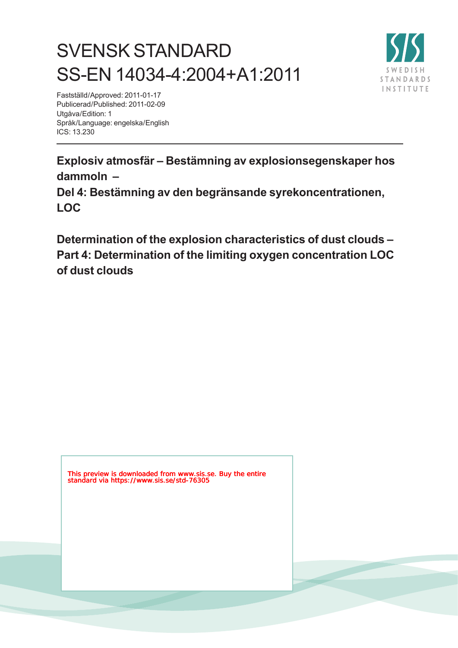# SVENSK STANDARD SS-EN 14034-4:2004+A1:2011



Fastställd/Approved: 2011-01-17 Publicerad/Published: 2011-02-09 Utgåva/Edition: 1 Språk/Language: engelska/English ICS: 13.230

**Explosiv atmosfär – Bestämning av explosionsegenskaper hos dammoln – Del 4: Bestämning av den begränsande syrekoncentrationen, LOC**

**Determination of the explosion characteristics of dust clouds – Part 4: Determination of the limiting oxygen concentration LOC of dust clouds**

This preview is downloaded from www.sis.se. Buy the entire standard via https://www.sis.se/std-76305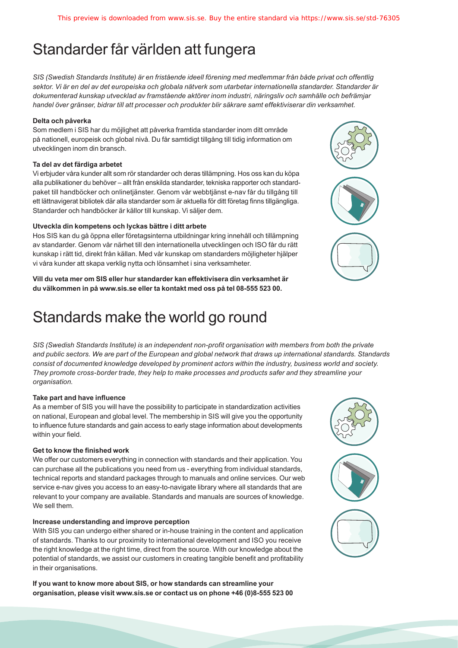## Standarder får världen att fungera

*SIS (Swedish Standards Institute) är en fristående ideell förening med medlemmar från både privat och offentlig sektor. Vi är en del av det europeiska och globala nätverk som utarbetar internationella standarder. Standarder är dokumenterad kunskap utvecklad av framstående aktörer inom industri, näringsliv och samhälle och befrämjar handel över gränser, bidrar till att processer och produkter blir säkrare samt effektiviserar din verksamhet.* 

#### **Delta och påverka**

Som medlem i SIS har du möjlighet att påverka framtida standarder inom ditt område på nationell, europeisk och global nivå. Du får samtidigt tillgång till tidig information om utvecklingen inom din bransch.

#### **Ta del av det färdiga arbetet**

Vi erbjuder våra kunder allt som rör standarder och deras tillämpning. Hos oss kan du köpa alla publikationer du behöver – allt från enskilda standarder, tekniska rapporter och standardpaket till handböcker och onlinetjänster. Genom vår webbtjänst e-nav får du tillgång till ett lättnavigerat bibliotek där alla standarder som är aktuella för ditt företag finns tillgängliga. Standarder och handböcker är källor till kunskap. Vi säljer dem.

#### **Utveckla din kompetens och lyckas bättre i ditt arbete**

Hos SIS kan du gå öppna eller företagsinterna utbildningar kring innehåll och tillämpning av standarder. Genom vår närhet till den internationella utvecklingen och ISO får du rätt kunskap i rätt tid, direkt från källan. Med vår kunskap om standarders möjligheter hjälper vi våra kunder att skapa verklig nytta och lönsamhet i sina verksamheter.

**Vill du veta mer om SIS eller hur standarder kan effektivisera din verksamhet är du välkommen in på www.sis.se eller ta kontakt med oss på tel 08-555 523 00.**

## Standards make the world go round

*SIS (Swedish Standards Institute) is an independent non-profit organisation with members from both the private and public sectors. We are part of the European and global network that draws up international standards. Standards consist of documented knowledge developed by prominent actors within the industry, business world and society. They promote cross-border trade, they help to make processes and products safer and they streamline your organisation.*

#### **Take part and have influence**

As a member of SIS you will have the possibility to participate in standardization activities on national, European and global level. The membership in SIS will give you the opportunity to influence future standards and gain access to early stage information about developments within your field.

#### **Get to know the finished work**

We offer our customers everything in connection with standards and their application. You can purchase all the publications you need from us - everything from individual standards, technical reports and standard packages through to manuals and online services. Our web service e-nav gives you access to an easy-to-navigate library where all standards that are relevant to your company are available. Standards and manuals are sources of knowledge. We sell them.

#### **Increase understanding and improve perception**

With SIS you can undergo either shared or in-house training in the content and application of standards. Thanks to our proximity to international development and ISO you receive the right knowledge at the right time, direct from the source. With our knowledge about the potential of standards, we assist our customers in creating tangible benefit and profitability in their organisations.

**If you want to know more about SIS, or how standards can streamline your organisation, please visit www.sis.se or contact us on phone +46 (0)8-555 523 00**



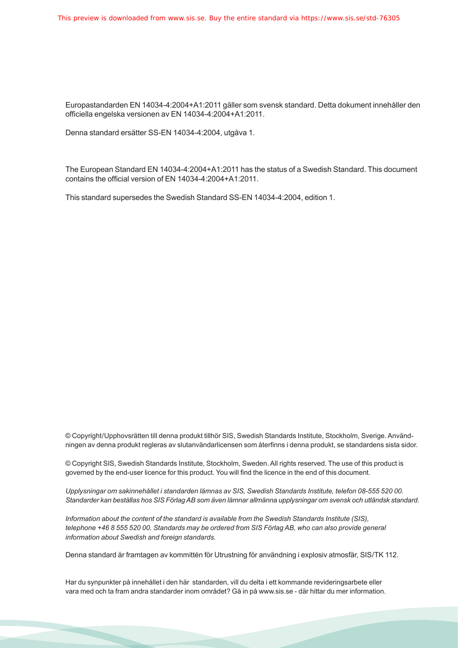Europastandarden EN 14034-4:2004+A1:2011 gäller som svensk standard. Detta dokument innehåller den officiella engelska versionen av EN 14034-4:2004+A1:2011.

Denna standard ersätter SS-EN 14034-4:2004, utgåva 1.

The European Standard EN 14034-4:2004+A1:2011 has the status of a Swedish Standard. This document contains the official version of EN 14034-4:2004+A1:2011.

This standard supersedes the Swedish Standard SS-EN 14034-4:2004, edition 1.

© Copyright/Upphovsrätten till denna produkt tillhör SIS, Swedish Standards Institute, Stockholm, Sverige. Användningen av denna produkt regleras av slutanvändarlicensen som återfinns i denna produkt, se standardens sista sidor.

© Copyright SIS, Swedish Standards Institute, Stockholm, Sweden. All rights reserved. The use of this product is governed by the end-user licence for this product. You will find the licence in the end of this document.

*Upplysningar om sakinnehållet i standarden lämnas av SIS, Swedish Standards Institute, telefon 08-555 520 00. Standarder kan beställas hos SIS Förlag AB som även lämnar allmänna upplysningar om svensk och utländsk standard.*

*Information about the content of the standard is available from the Swedish Standards Institute (SIS), telephone +46 8 555 520 00. Standards may be ordered from SIS Förlag AB, who can also provide general information about Swedish and foreign standards.*

Denna standard är framtagen av kommittén för Utrustning för användning i explosiv atmosfär, SIS/TK 112.

Har du synpunkter på innehållet i den här standarden, vill du delta i ett kommande revideringsarbete eller vara med och ta fram andra standarder inom området? Gå in på www.sis.se - där hittar du mer information.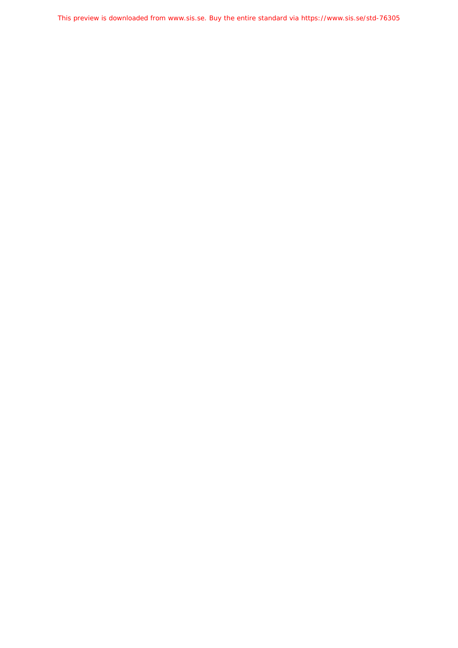This preview is downloaded from www.sis.se. Buy the entire standard via https://www.sis.se/std-76305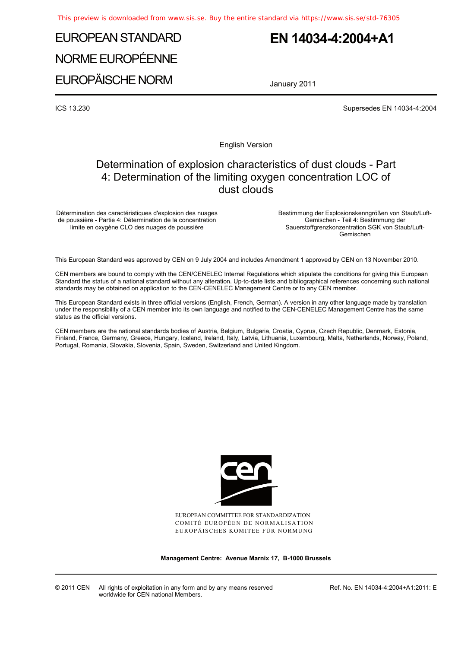## EUROPEAN STANDARD NORME EUROPÉENNE

## **EN 14034-4:2004+A1**

EUROPÄISCHE NORM

January 2011

ICS 13.230 Supersedes EN 14034-4:2004

English Version

### Determination of explosion characteristics of dust clouds - Part 4: Determination of the limiting oxygen concentration LOC of dust clouds

Détermination des caractéristiques d'explosion des nuages de poussière - Partie 4: Détermination de la concentration limite en oxygène CLO des nuages de poussière

 Bestimmung der Explosionskenngrößen von Staub/Luft-Gemischen - Teil 4: Bestimmung der Sauerstoffgrenzkonzentration SGK von Staub/Luft-Gemischen

This European Standard was approved by CEN on 9 July 2004 and includes Amendment 1 approved by CEN on 13 November 2010.

CEN members are bound to comply with the CEN/CENELEC Internal Regulations which stipulate the conditions for giving this European Standard the status of a national standard without any alteration. Up-to-date lists and bibliographical references concerning such national standards may be obtained on application to the CEN-CENELEC Management Centre or to any CEN member.

This European Standard exists in three official versions (English, French, German). A version in any other language made by translation under the responsibility of a CEN member into its own language and notified to the CEN-CENELEC Management Centre has the same status as the official versions.

CEN members are the national standards bodies of Austria, Belgium, Bulgaria, Croatia, Cyprus, Czech Republic, Denmark, Estonia, Finland, France, Germany, Greece, Hungary, Iceland, Ireland, Italy, Latvia, Lithuania, Luxembourg, Malta, Netherlands, Norway, Poland, Portugal, Romania, Slovakia, Slovenia, Spain, Sweden, Switzerland and United Kingdom.



EUROPEAN COMMITTEE FOR STANDARDIZATION COMITÉ EUROPÉEN DE NORMALISATION EUROPÄISCHES KOMITEE FÜR NORMUNG

**Management Centre: Avenue Marnix 17, B-1000 Brussels**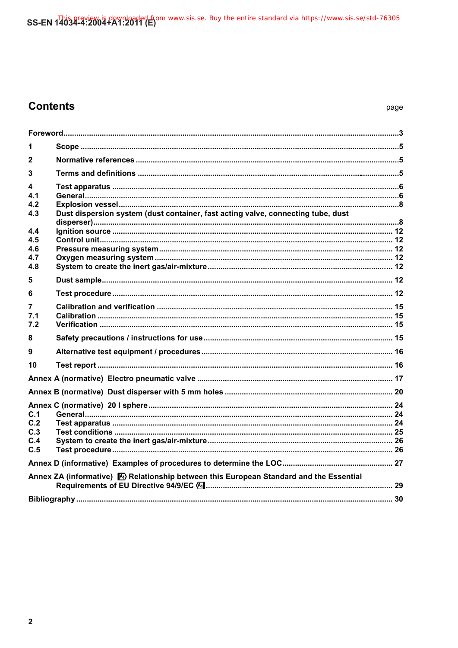SS-EN 14038-4:2004+A1:2011 (E) www.sis.se. Buy the entire standard via https://www.sis.se/std-76305

## **Contents**

| 1          |                                                                                         |  |
|------------|-----------------------------------------------------------------------------------------|--|
| 2          |                                                                                         |  |
| 3          |                                                                                         |  |
| 4          |                                                                                         |  |
| 4.1        |                                                                                         |  |
| 4.2<br>4.3 | Dust dispersion system (dust container, fast acting valve, connecting tube, dust        |  |
|            |                                                                                         |  |
| 4.4        |                                                                                         |  |
| 4.5<br>4.6 |                                                                                         |  |
| 4.7        |                                                                                         |  |
| 4.8        |                                                                                         |  |
| 5          |                                                                                         |  |
| 6          |                                                                                         |  |
| 7          |                                                                                         |  |
| 7.1        |                                                                                         |  |
| 7.2        |                                                                                         |  |
| 8          |                                                                                         |  |
| 9          |                                                                                         |  |
| 10         |                                                                                         |  |
|            |                                                                                         |  |
|            |                                                                                         |  |
|            |                                                                                         |  |
| C.1        |                                                                                         |  |
| C.2        |                                                                                         |  |
| C.3        |                                                                                         |  |
| C.4<br>C.5 |                                                                                         |  |
|            |                                                                                         |  |
|            |                                                                                         |  |
|            | Annex ZA (informative) M) Relationship between this European Standard and the Essential |  |
|            |                                                                                         |  |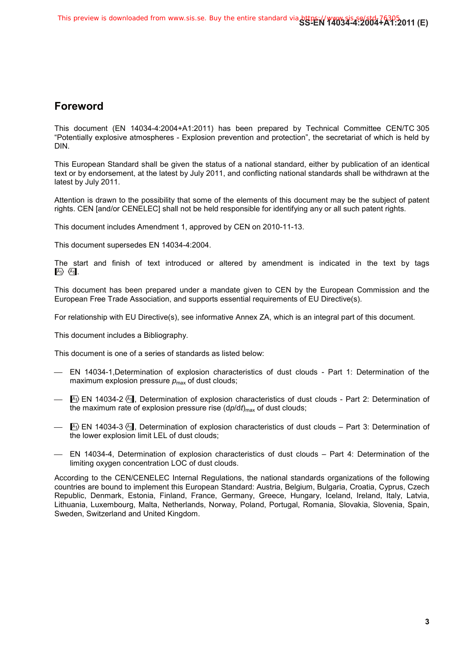### **Foreword**

This document (EN 14034-4:2004+A1:2011) has been prepared by Technical Committee CEN/TC 305 "Potentially explosive atmospheres - Explosion prevention and protection", the secretariat of which is held by DIN.

This European Standard shall be given the status of a national standard, either by publication of an identical text or by endorsement, at the latest by July 2011, and conflicting national standards shall be withdrawn at the latest by July 2011.

Attention is drawn to the possibility that some of the elements of this document may be the subject of patent rights. CEN [and/or CENELEC] shall not be held responsible for identifying any or all such patent rights.

This document includes Amendment 1, approved by CEN on 2010-11-13.

This document supersedes EN 14034-4:2004.

The start and finish of text introduced or altered by amendment is indicated in the text by tags  $A_1$ ,  $A_1$ .

This document has been prepared under a mandate given to CEN by the European Commission and the European Free Trade Association, and supports essential requirements of EU Directive(s).

For relationship with EU Directive(s), see informative Annex ZA, which is an integral part of this document.

This document includes a Bibliography.

This document is one of a series of standards as listed below:

- EN 14034-1,Determination of explosion characteristics of dust clouds Part 1: Determination of the maximum explosion pressure  $p_{\text{max}}$  of dust clouds;
- $\blacksquare$   $\blacksquare$   $\lozenge$  14034-2  $\lozenge$ <sub>I</sub>, Determination of explosion characteristics of dust clouds Part 2: Determination of the maximum rate of explosion pressure rise  $\frac{dp}{dt}_{\text{max}}$  of dust clouds;
- $\overline{F}$   $\overline{F}$  EN 14034-3  $\overline{F}$ , Determination of explosion characteristics of dust clouds Part 3: Determination of the lower explosion limit LEL of dust clouds;
- EN 14034-4, Determination of explosion characteristics of dust clouds Part 4: Determination of the limiting oxygen concentration LOC of dust clouds.

According to the CEN/CENELEC Internal Regulations, the national standards organizations of the following countries are bound to implement this European Standard: Austria, Belgium, Bulgaria, Croatia, Cyprus, Czech Republic, Denmark, Estonia, Finland, France, Germany, Greece, Hungary, Iceland, Ireland, Italy, Latvia, Lithuania, Luxembourg, Malta, Netherlands, Norway, Poland, Portugal, Romania, Slovakia, Slovenia, Spain, Sweden, Switzerland and United Kingdom.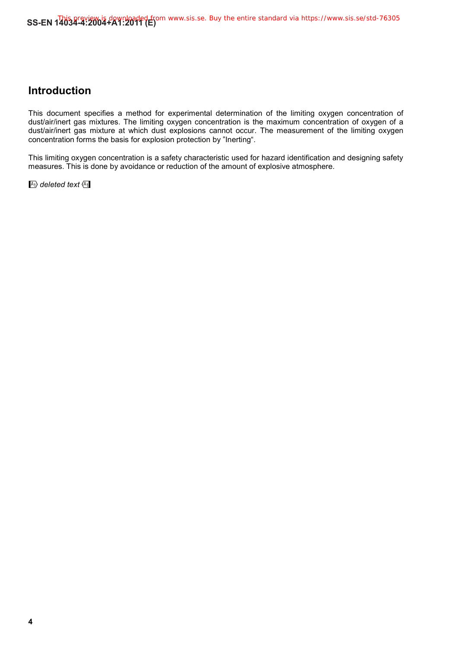### **Introduction**

This document specifies a method for experimental determination of the limiting oxygen concentration of dust/air/inert gas mixtures. The limiting oxygen concentration is the maximum concentration of oxygen of a dust/air/inert gas mixture at which dust explosions cannot occur. The measurement of the limiting oxygen concentration forms the basis for explosion protection by "Inerting".

This limiting oxygen concentration is a safety characteristic used for hazard identification and designing safety measures. This is done by avoidance or reduction of the amount of explosive atmosphere.

 $\overline{A_1}$  deleted text  $\overline{A_1}$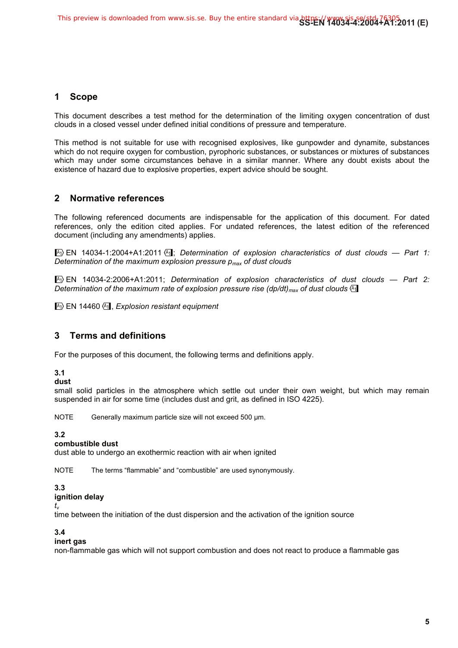#### **1 Scope**

This document describes a test method for the determination of the limiting oxygen concentration of dust clouds in a closed vessel under defined initial conditions of pressure and temperature.

This method is not suitable for use with recognised explosives, like gunpowder and dynamite, substances which do not require oxygen for combustion, pyrophoric substances, or substances or mixtures of substances which may under some circumstances behave in a similar manner. Where any doubt exists about the existence of hazard due to explosive properties, expert advice should be sought.

#### **2 Normative references**

The following referenced documents are indispensable for the application of this document. For dated references, only the edition cited applies. For undated references, the latest edition of the referenced document (including any amendments) applies.

 $\overline{A_1}$  EN 14034-1:2004+A1:2011  $\overline{A_1}$ ; *Determination of explosion characteristics of dust clouds — Part 1: Determination of the maximum explosion pressure p<sub>max</sub> of dust clouds* 

!EN 14034-2:2006+A1:2011; *Determination of explosion characteristics of dust clouds — Part 2: Determination of the maximum rate of explosion pressure rise (dp/dt)<sub>max</sub> of dust clouds*  $\frac{A_1}{A_2}$ 

!EN 14460", *Explosion resistant equipment*

#### **3 Terms and definitions**

For the purposes of this document, the following terms and definitions apply.

#### **3.1**

#### **dust**

small solid particles in the atmosphere which settle out under their own weight, but which may remain suspended in air for some time (includes dust and grit, as defined in ISO 4225).

NOTE Generally maximum particle size will not exceed 500 um.

#### **3.2**

#### **combustible dust**

dust able to undergo an exothermic reaction with air when ignited

NOTE The terms "flammable" and "combustible" are used synonymously.

#### **3.3**

#### **ignition delay**

*t*v

time between the initiation of the dust dispersion and the activation of the ignition source

#### **3.4**

#### **inert gas**

non-flammable gas which will not support combustion and does not react to produce a flammable gas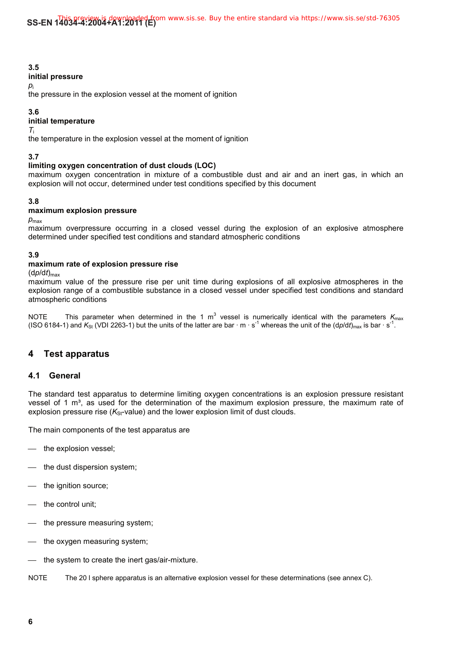#### **3.5**

#### **initial pressure**

*p*i

the pressure in the explosion vessel at the moment of ignition

#### **3.6**

#### **initial temperature**

*T*i

the temperature in the explosion vessel at the moment of ignition

#### **3.7**

#### **limiting oxygen concentration of dust clouds (LOC)**

maximum oxygen concentration in mixture of a combustible dust and air and an inert gas, in which an explosion will not occur, determined under test conditions specified by this document

#### **3.8**

#### **maximum explosion pressure**

*p*max

maximum overpressure occurring in a closed vessel during the explosion of an explosive atmosphere determined under specified test conditions and standard atmospheric conditions

#### **3.9**

#### **maximum rate of explosion pressure rise**

 $(d\rho/dt)_{\text{max}}$ 

maximum value of the pressure rise per unit time during explosions of all explosive atmospheres in the explosion range of a combustible substance in a closed vessel under specified test conditions and standard atmospheric conditions

NOTE This parameter when determined in the 1 m<sup>3</sup> vessel is numerically identical with the parameters  $K_{\text{max}}$ (ISO 6184-1) and  $K_{St}$  (VDI 2263-1) but the units of the latter are bar  $\cdot$  m  $\cdot$  s<sup>-1</sup> whereas the unit of the (d*p*/d*t*)<sub>max</sub> is bar  $\cdot$  s<sup>-1</sup>.

#### **4 Test apparatus**

#### **4.1 General**

The standard test apparatus to determine limiting oxygen concentrations is an explosion pressure resistant vessel of 1 m<sup>3</sup>, as used for the determination of the maximum explosion pressure, the maximum rate of explosion pressure rise  $(K<sub>St</sub>-value)$  and the lower explosion limit of dust clouds.

The main components of the test apparatus are

- the explosion vessel;
- the dust dispersion system;
- the ignition source;
- the control unit;
- the pressure measuring system;
- the oxygen measuring system;
- the system to create the inert gas/air-mixture.
- NOTE The 20 I sphere apparatus is an alternative explosion vessel for these determinations (see annex C).